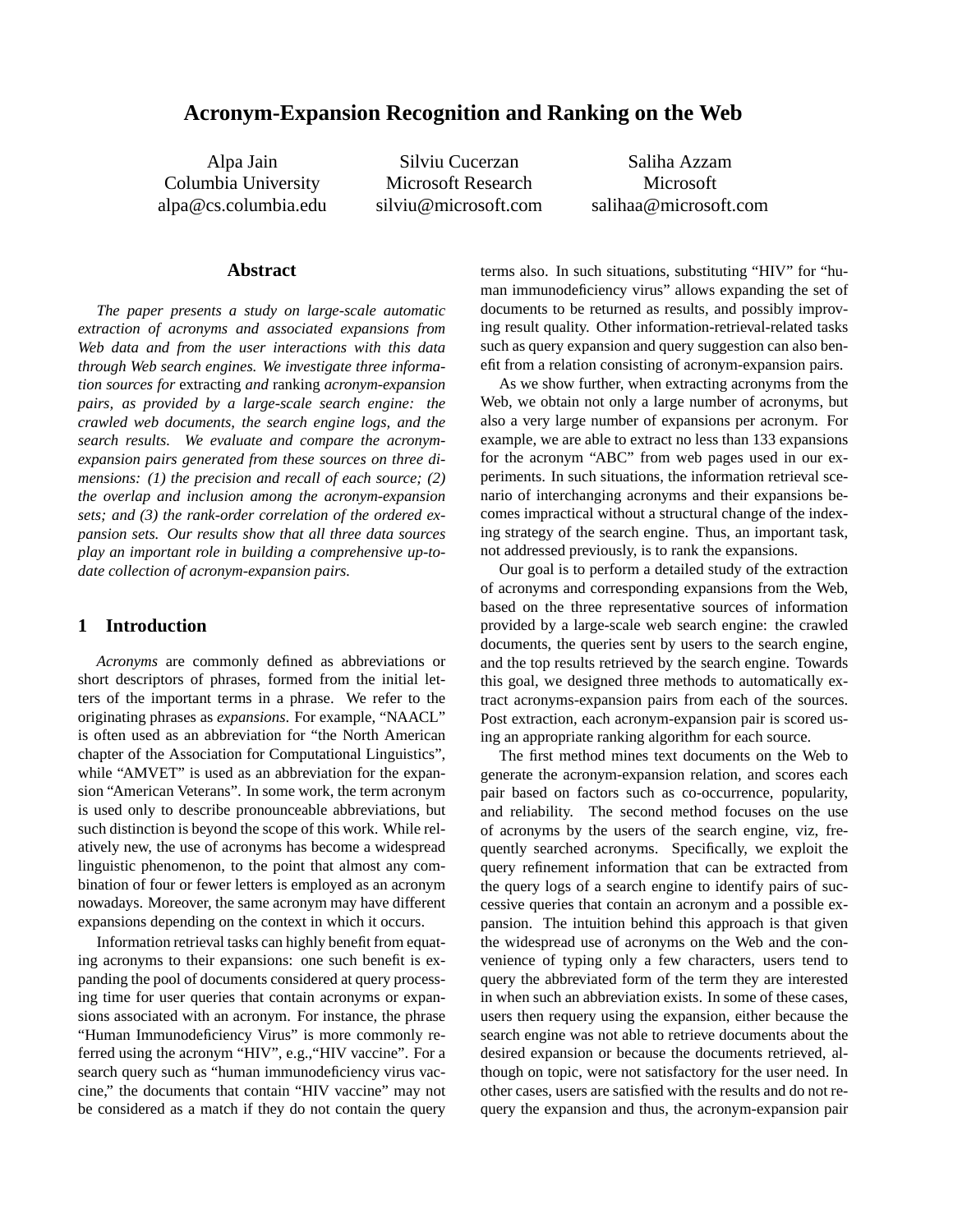# **Acronym-Expansion Recognition and Ranking on the Web**

Alpa Jain Columbia University alpa@cs.columbia.edu

Silviu Cucerzan Microsoft Research silviu@microsoft.com

Saliha Azzam Microsoft salihaa@microsoft.com

#### **Abstract**

*The paper presents a study on large-scale automatic extraction of acronyms and associated expansions from Web data and from the user interactions with this data through Web search engines. We investigate three information sources for* extracting *and* ranking *acronym-expansion pairs, as provided by a large-scale search engine: the crawled web documents, the search engine logs, and the search results. We evaluate and compare the acronymexpansion pairs generated from these sources on three dimensions: (1) the precision and recall of each source; (2) the overlap and inclusion among the acronym-expansion sets; and (3) the rank-order correlation of the ordered expansion sets. Our results show that all three data sources play an important role in building a comprehensive up-todate collection of acronym-expansion pairs.*

## **1 Introduction**

*Acronyms* are commonly defined as abbreviations or short descriptors of phrases, formed from the initial letters of the important terms in a phrase. We refer to the originating phrases as *expansions*. For example, "NAACL" is often used as an abbreviation for "the North American chapter of the Association for Computational Linguistics", while "AMVET" is used as an abbreviation for the expansion "American Veterans". In some work, the term acronym is used only to describe pronounceable abbreviations, but such distinction is beyond the scope of this work. While relatively new, the use of acronyms has become a widespread linguistic phenomenon, to the point that almost any combination of four or fewer letters is employed as an acronym nowadays. Moreover, the same acronym may have different expansions depending on the context in which it occurs.

Information retrieval tasks can highly benefit from equating acronyms to their expansions: one such benefit is expanding the pool of documents considered at query processing time for user queries that contain acronyms or expansions associated with an acronym. For instance, the phrase "Human Immunodeficiency Virus" is more commonly referred using the acronym "HIV", e.g.,"HIV vaccine". For a search query such as "human immunodeficiency virus vaccine," the documents that contain "HIV vaccine" may not be considered as a match if they do not contain the query terms also. In such situations, substituting "HIV" for "human immunodeficiency virus" allows expanding the set of documents to be returned as results, and possibly improving result quality. Other information-retrieval-related tasks such as query expansion and query suggestion can also benefit from a relation consisting of acronym-expansion pairs.

As we show further, when extracting acronyms from the Web, we obtain not only a large number of acronyms, but also a very large number of expansions per acronym. For example, we are able to extract no less than 133 expansions for the acronym "ABC" from web pages used in our experiments. In such situations, the information retrieval scenario of interchanging acronyms and their expansions becomes impractical without a structural change of the indexing strategy of the search engine. Thus, an important task, not addressed previously, is to rank the expansions.

Our goal is to perform a detailed study of the extraction of acronyms and corresponding expansions from the Web, based on the three representative sources of information provided by a large-scale web search engine: the crawled documents, the queries sent by users to the search engine, and the top results retrieved by the search engine. Towards this goal, we designed three methods to automatically extract acronyms-expansion pairs from each of the sources. Post extraction, each acronym-expansion pair is scored using an appropriate ranking algorithm for each source.

The first method mines text documents on the Web to generate the acronym-expansion relation, and scores each pair based on factors such as co-occurrence, popularity, and reliability. The second method focuses on the use of acronyms by the users of the search engine, viz, frequently searched acronyms. Specifically, we exploit the query refinement information that can be extracted from the query logs of a search engine to identify pairs of successive queries that contain an acronym and a possible expansion. The intuition behind this approach is that given the widespread use of acronyms on the Web and the convenience of typing only a few characters, users tend to query the abbreviated form of the term they are interested in when such an abbreviation exists. In some of these cases, users then requery using the expansion, either because the search engine was not able to retrieve documents about the desired expansion or because the documents retrieved, although on topic, were not satisfactory for the user need. In other cases, users are satisfied with the results and do not requery the expansion and thus, the acronym-expansion pair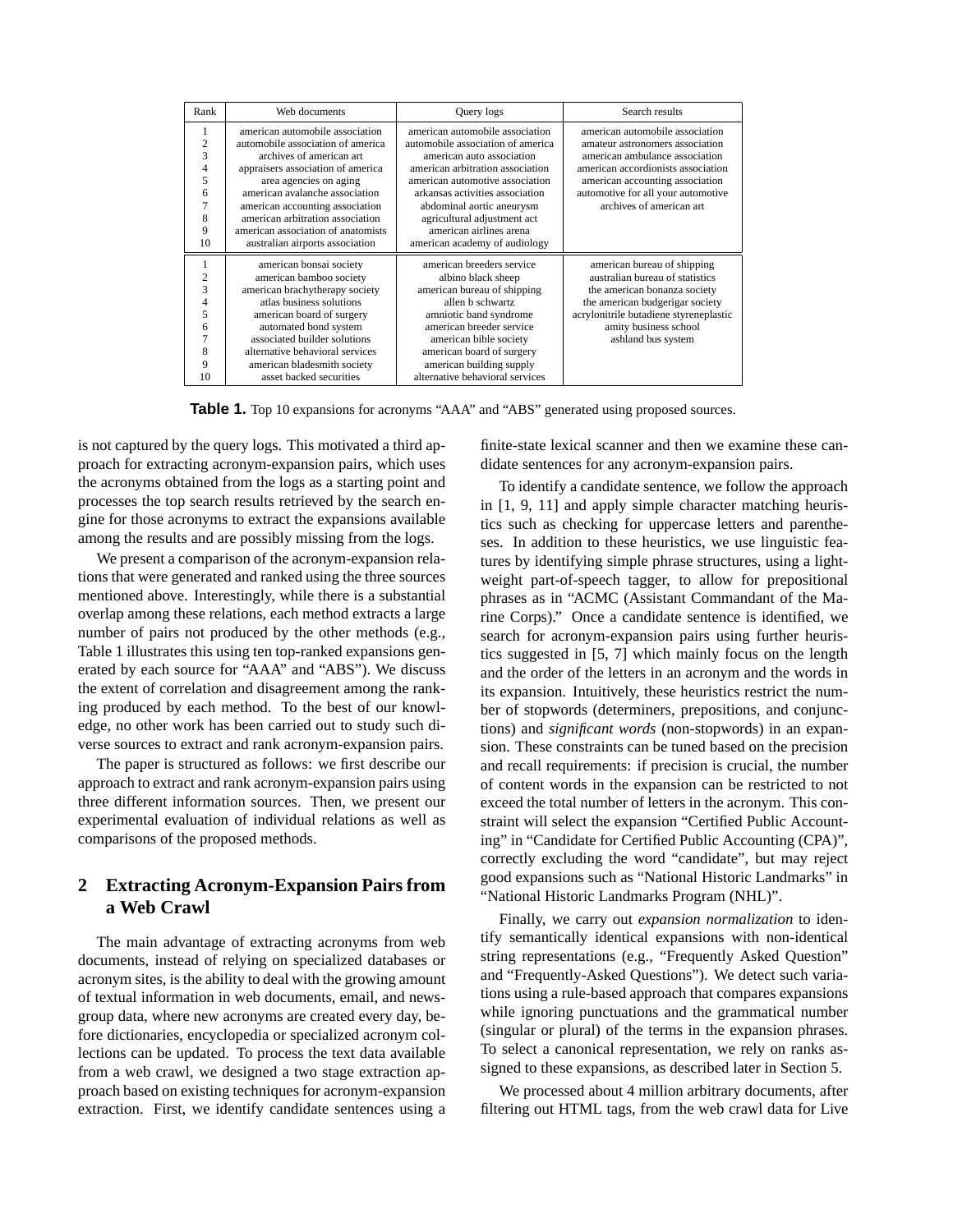| Rank                                                         | Web documents                                                                                                                                                                                                                                                                                                                                     | Query logs                                                                                                                                                                                                                                                                                                                          | Search results                                                                                                                                                                                                                                  |
|--------------------------------------------------------------|---------------------------------------------------------------------------------------------------------------------------------------------------------------------------------------------------------------------------------------------------------------------------------------------------------------------------------------------------|-------------------------------------------------------------------------------------------------------------------------------------------------------------------------------------------------------------------------------------------------------------------------------------------------------------------------------------|-------------------------------------------------------------------------------------------------------------------------------------------------------------------------------------------------------------------------------------------------|
| 1<br>$\overline{c}$<br>3<br>4<br>5<br>6<br>7<br>8<br>9<br>10 | american automobile association<br>automobile association of america<br>archives of american art<br>appraisers association of america<br>area agencies on aging<br>american avalanche association<br>american accounting association<br>american arbitration association<br>american association of anatomists<br>australian airports association | american automobile association<br>automobile association of america<br>american auto association<br>american arbitration association<br>american automotive association<br>arkansas activities association<br>abdominal aortic aneurysm<br>agricultural adjustment act<br>american airlines arena<br>american academy of audiology | american automobile association<br>amateur astronomers association<br>american ambulance association<br>american accordionists association<br>american accounting association<br>automotive for all your automotive<br>archives of american art |
| $\overline{2}$<br>3<br>4<br>5<br>6<br>7<br>8<br>9<br>10      | american bonsai society<br>american bamboo society<br>american brachytherapy society<br>atlas business solutions<br>american board of surgery<br>automated bond system<br>associated builder solutions<br>alternative behavioral services<br>american bladesmith society<br>asset backed securities                                               | american breeders service<br>albino black sheep<br>american bureau of shipping<br>allen b schwartz<br>amniotic band syndrome<br>american breeder service<br>american bible society<br>american board of surgery<br>american building supply<br>alternative behavioral services                                                      | american bureau of shipping<br>australian bureau of statistics<br>the american bonanza society<br>the american budgerigar society<br>acrylonitrile butadiene styreneplastic<br>amity business school<br>ashland bus system                      |

**Table 1.** Top 10 expansions for acronyms "AAA" and "ABS" generated using proposed sources.

is not captured by the query logs. This motivated a third approach for extracting acronym-expansion pairs, which uses the acronyms obtained from the logs as a starting point and processes the top search results retrieved by the search engine for those acronyms to extract the expansions available among the results and are possibly missing from the logs.

We present a comparison of the acronym-expansion relations that were generated and ranked using the three sources mentioned above. Interestingly, while there is a substantial overlap among these relations, each method extracts a large number of pairs not produced by the other methods (e.g., Table 1 illustrates this using ten top-ranked expansions generated by each source for "AAA" and "ABS"). We discuss the extent of correlation and disagreement among the ranking produced by each method. To the best of our knowledge, no other work has been carried out to study such diverse sources to extract and rank acronym-expansion pairs.

The paper is structured as follows: we first describe our approach to extract and rank acronym-expansion pairs using three different information sources. Then, we present our experimental evaluation of individual relations as well as comparisons of the proposed methods.

# **2 Extracting Acronym-Expansion Pairs from a Web Crawl**

The main advantage of extracting acronyms from web documents, instead of relying on specialized databases or acronym sites, is the ability to deal with the growing amount of textual information in web documents, email, and newsgroup data, where new acronyms are created every day, before dictionaries, encyclopedia or specialized acronym collections can be updated. To process the text data available from a web crawl, we designed a two stage extraction approach based on existing techniques for acronym-expansion extraction. First, we identify candidate sentences using a

finite-state lexical scanner and then we examine these candidate sentences for any acronym-expansion pairs.

To identify a candidate sentence, we follow the approach in [1, 9, 11] and apply simple character matching heuristics such as checking for uppercase letters and parentheses. In addition to these heuristics, we use linguistic features by identifying simple phrase structures, using a lightweight part-of-speech tagger, to allow for prepositional phrases as in "ACMC (Assistant Commandant of the Marine Corps)." Once a candidate sentence is identified, we search for acronym-expansion pairs using further heuristics suggested in [5, 7] which mainly focus on the length and the order of the letters in an acronym and the words in its expansion. Intuitively, these heuristics restrict the number of stopwords (determiners, prepositions, and conjunctions) and *significant words* (non-stopwords) in an expansion. These constraints can be tuned based on the precision and recall requirements: if precision is crucial, the number of content words in the expansion can be restricted to not exceed the total number of letters in the acronym. This constraint will select the expansion "Certified Public Accounting" in "Candidate for Certified Public Accounting (CPA)", correctly excluding the word "candidate", but may reject good expansions such as "National Historic Landmarks" in "National Historic Landmarks Program (NHL)".

Finally, we carry out *expansion normalization* to identify semantically identical expansions with non-identical string representations (e.g., "Frequently Asked Question" and "Frequently-Asked Questions"). We detect such variations using a rule-based approach that compares expansions while ignoring punctuations and the grammatical number (singular or plural) of the terms in the expansion phrases. To select a canonical representation, we rely on ranks assigned to these expansions, as described later in Section 5.

We processed about 4 million arbitrary documents, after filtering out HTML tags, from the web crawl data for Live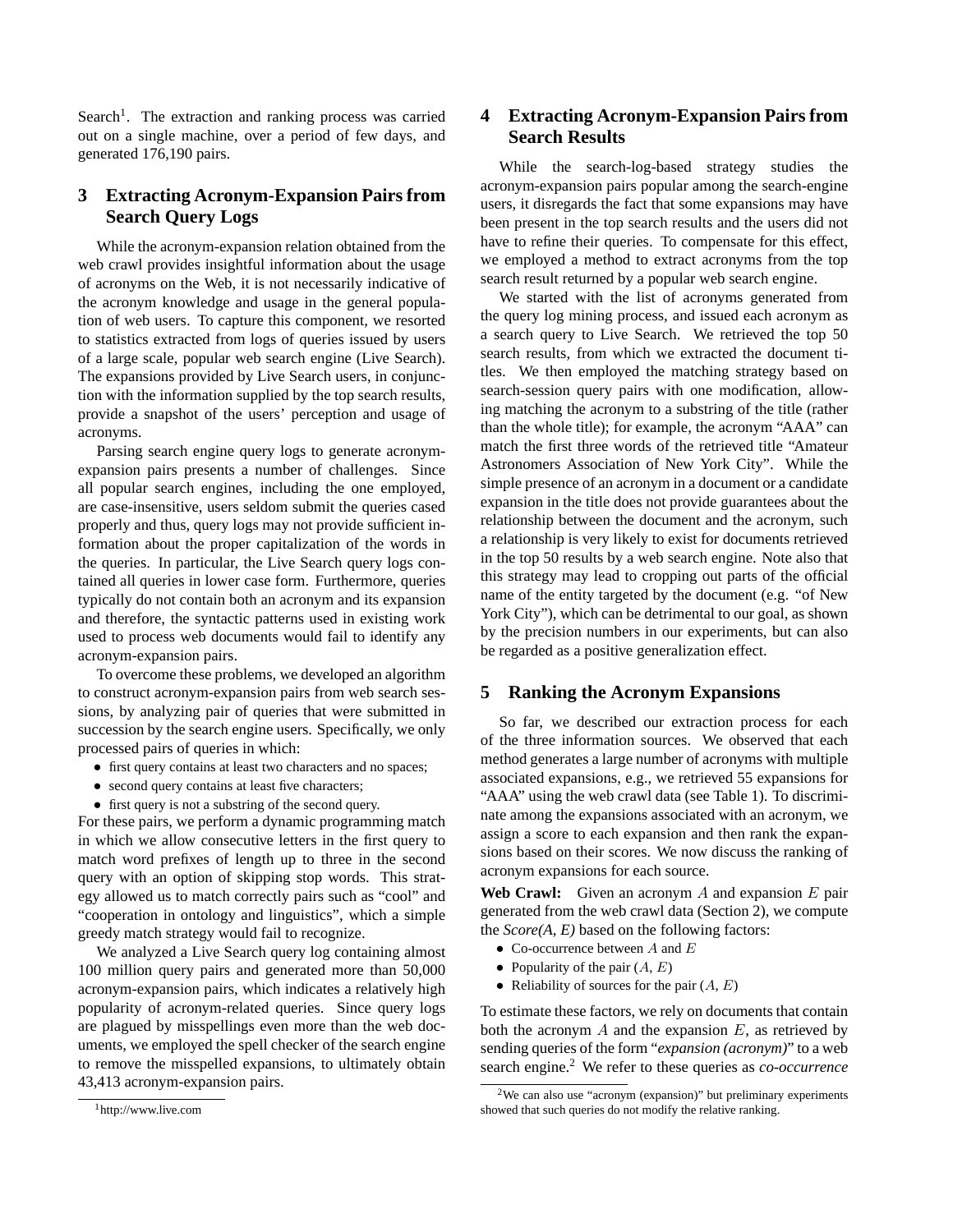Search<sup>1</sup>. The extraction and ranking process was carried out on a single machine, over a period of few days, and generated 176,190 pairs.

## **3 Extracting Acronym-Expansion Pairs from Search Query Logs**

While the acronym-expansion relation obtained from the web crawl provides insightful information about the usage of acronyms on the Web, it is not necessarily indicative of the acronym knowledge and usage in the general population of web users. To capture this component, we resorted to statistics extracted from logs of queries issued by users of a large scale, popular web search engine (Live Search). The expansions provided by Live Search users, in conjunction with the information supplied by the top search results, provide a snapshot of the users' perception and usage of acronyms.

Parsing search engine query logs to generate acronymexpansion pairs presents a number of challenges. Since all popular search engines, including the one employed, are case-insensitive, users seldom submit the queries cased properly and thus, query logs may not provide sufficient information about the proper capitalization of the words in the queries. In particular, the Live Search query logs contained all queries in lower case form. Furthermore, queries typically do not contain both an acronym and its expansion and therefore, the syntactic patterns used in existing work used to process web documents would fail to identify any acronym-expansion pairs.

To overcome these problems, we developed an algorithm to construct acronym-expansion pairs from web search sessions, by analyzing pair of queries that were submitted in succession by the search engine users. Specifically, we only processed pairs of queries in which:

- first query contains at least two characters and no spaces;
- second query contains at least five characters;
- first query is not a substring of the second query.

For these pairs, we perform a dynamic programming match in which we allow consecutive letters in the first query to match word prefixes of length up to three in the second query with an option of skipping stop words. This strategy allowed us to match correctly pairs such as "cool" and "cooperation in ontology and linguistics", which a simple greedy match strategy would fail to recognize.

We analyzed a Live Search query log containing almost 100 million query pairs and generated more than 50,000 acronym-expansion pairs, which indicates a relatively high popularity of acronym-related queries. Since query logs are plagued by misspellings even more than the web documents, we employed the spell checker of the search engine to remove the misspelled expansions, to ultimately obtain 43,413 acronym-expansion pairs.

# **4 Extracting Acronym-Expansion Pairs from Search Results**

While the search-log-based strategy studies the acronym-expansion pairs popular among the search-engine users, it disregards the fact that some expansions may have been present in the top search results and the users did not have to refine their queries. To compensate for this effect, we employed a method to extract acronyms from the top search result returned by a popular web search engine.

We started with the list of acronyms generated from the query log mining process, and issued each acronym as a search query to Live Search. We retrieved the top 50 search results, from which we extracted the document titles. We then employed the matching strategy based on search-session query pairs with one modification, allowing matching the acronym to a substring of the title (rather than the whole title); for example, the acronym "AAA" can match the first three words of the retrieved title "Amateur Astronomers Association of New York City". While the simple presence of an acronym in a document or a candidate expansion in the title does not provide guarantees about the relationship between the document and the acronym, such a relationship is very likely to exist for documents retrieved in the top 50 results by a web search engine. Note also that this strategy may lead to cropping out parts of the official name of the entity targeted by the document (e.g. "of New York City"), which can be detrimental to our goal, as shown by the precision numbers in our experiments, but can also be regarded as a positive generalization effect.

## **5 Ranking the Acronym Expansions**

So far, we described our extraction process for each of the three information sources. We observed that each method generates a large number of acronyms with multiple associated expansions, e.g., we retrieved 55 expansions for "AAA" using the web crawl data (see Table 1). To discriminate among the expansions associated with an acronym, we assign a score to each expansion and then rank the expansions based on their scores. We now discuss the ranking of acronym expansions for each source.

**Web Crawl:** Given an acronym  $A$  and expansion  $E$  pair generated from the web crawl data (Section 2), we compute the *Score(A, E)* based on the following factors:

- Co-occurrence between  $A$  and  $E$
- Popularity of the pair  $(A, E)$
- Reliability of sources for the pair  $(A, E)$

To estimate these factors, we rely on documents that contain both the acronym  $A$  and the expansion  $E$ , as retrieved by sending queries of the form "*expansion (acronym)*" to a web search engine.<sup>2</sup> We refer to these queries as *co-occurrence*

<sup>1</sup>http://www.live.com

<sup>2</sup>We can also use "acronym (expansion)" but preliminary experiments showed that such queries do not modify the relative ranking.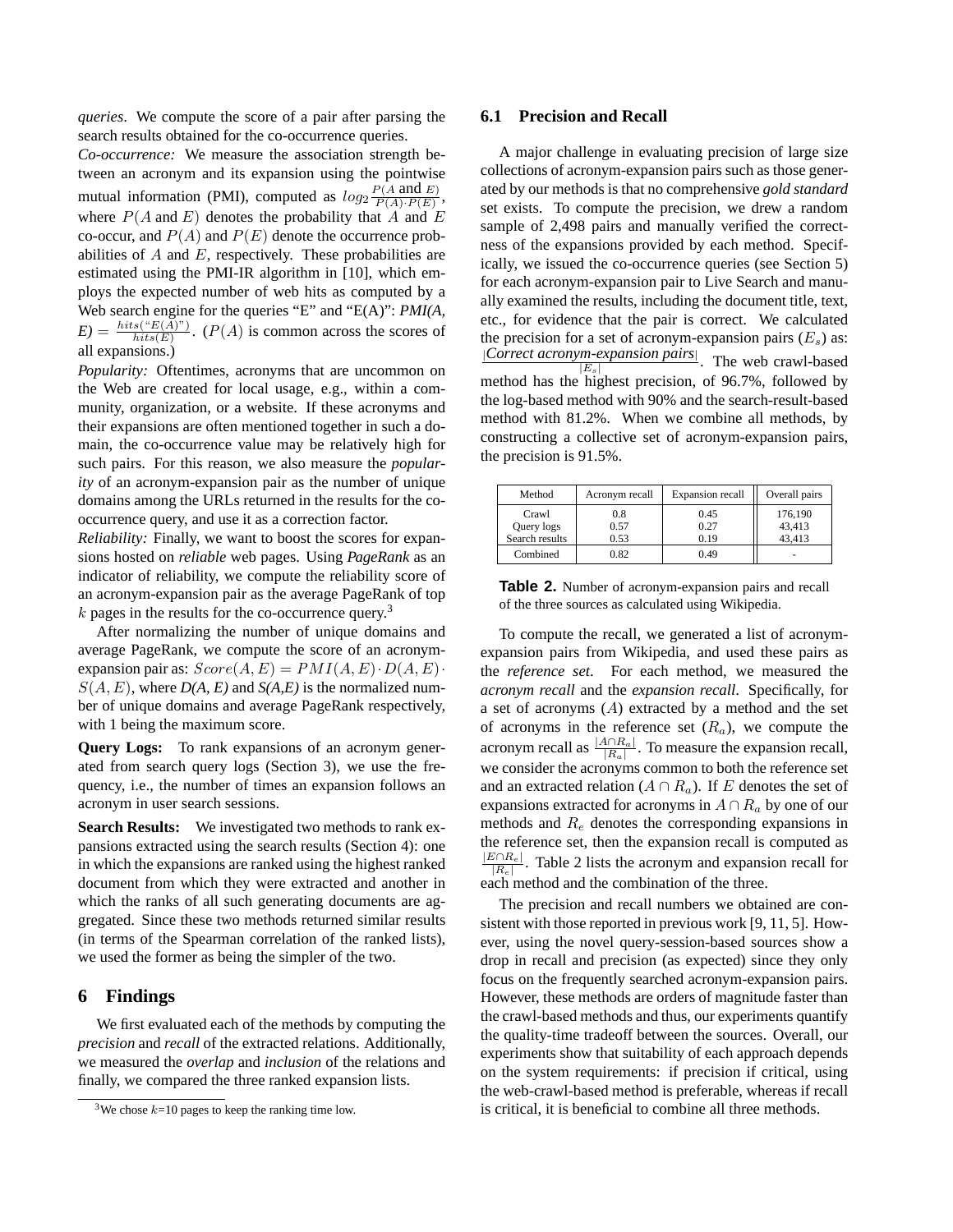*queries*. We compute the score of a pair after parsing the search results obtained for the co-occurrence queries.

*Co-occurrence:* We measure the association strength between an acronym and its expansion using the pointwise mutual information (PMI), computed as  $log_2 \frac{P(A \text{ and } E)}{P(A) \cdot P(E)}$ , where  $P(A \text{ and } E)$  denotes the probability that A and E co-occur, and  $P(A)$  and  $P(E)$  denote the occurrence probabilities of  $A$  and  $E$ , respectively. These probabilities are estimated using the PMI-IR algorithm in [10], which employs the expected number of web hits as computed by a Web search engine for the queries "E" and "E(A)": *PMI(A,*  $E = \frac{hits("E(A))}{hist(E)}$ . (*P(A)* is common across the scores of  $hits(E)$ all expansions.)

*Popularity:* Oftentimes, acronyms that are uncommon on the Web are created for local usage, e.g., within a community, organization, or a website. If these acronyms and their expansions are often mentioned together in such a domain, the co-occurrence value may be relatively high for such pairs. For this reason, we also measure the *popularity* of an acronym-expansion pair as the number of unique domains among the URLs returned in the results for the cooccurrence query, and use it as a correction factor.

*Reliability:* Finally, we want to boost the scores for expansions hosted on *reliable* web pages. Using *PageRank* as an indicator of reliability, we compute the reliability score of an acronym-expansion pair as the average PageRank of top  $k$  pages in the results for the co-occurrence query.<sup>3</sup>

After normalizing the number of unique domains and average PageRank, we compute the score of an acronymexpansion pair as:  $Score(A, E) = PMI(A, E) \cdot D(A, E) \cdot$  $S(A, E)$ , where  $D(A, E)$  and  $S(A, E)$  is the normalized number of unique domains and average PageRank respectively, with 1 being the maximum score.

**Query Logs:** To rank expansions of an acronym generated from search query logs (Section 3), we use the frequency, i.e., the number of times an expansion follows an acronym in user search sessions.

**Search Results:** We investigated two methods to rank expansions extracted using the search results (Section 4): one in which the expansions are ranked using the highest ranked document from which they were extracted and another in which the ranks of all such generating documents are aggregated. Since these two methods returned similar results (in terms of the Spearman correlation of the ranked lists), we used the former as being the simpler of the two.

### **6 Findings**

We first evaluated each of the methods by computing the *precision* and *recall* of the extracted relations. Additionally, we measured the *overlap* and *inclusion* of the relations and finally, we compared the three ranked expansion lists.

#### **6.1 Precision and Recall**

A major challenge in evaluating precision of large size collections of acronym-expansion pairs such as those generated by our methods is that no comprehensive *gold standard* set exists. To compute the precision, we drew a random sample of 2,498 pairs and manually verified the correctness of the expansions provided by each method. Specifically, we issued the co-occurrence queries (see Section 5) for each acronym-expansion pair to Live Search and manually examined the results, including the document title, text, etc., for evidence that the pair is correct. We calculated the precision for a set of acronym-expansion pairs  $(E_s)$  as: <sup>|</sup>*Correct acronym-expansion pairs*<sup>|</sup> . The web crawl-based  $|E_s|$ method has the highest precision, of 96.7%, followed by the log-based method with 90% and the search-result-based method with 81.2%. When we combine all methods, by constructing a collective set of acronym-expansion pairs, the precision is 91.5%.

| Method                                | Acronym recall      | <b>Expansion recall</b> | Overall pairs               |
|---------------------------------------|---------------------|-------------------------|-----------------------------|
| Crawl<br>Query logs<br>Search results | 0.8<br>0.57<br>0.53 | 0.45<br>0.27<br>0.19    | 176,190<br>43.413<br>43.413 |
| Combined                              | 0.82                | 0.49                    |                             |

**Table 2.** Number of acronym-expansion pairs and recall of the three sources as calculated using Wikipedia.

To compute the recall, we generated a list of acronymexpansion pairs from Wikipedia, and used these pairs as the *reference set*. For each method, we measured the *acronym recall* and the *expansion recall*. Specifically, for a set of acronyms  $(A)$  extracted by a method and the set of acronyms in the reference set  $(R_a)$ , we compute the acronym recall as  $\frac{|A \cap R_a|}{|R_a|}$ . To measure the expansion recall, we consider the acronyms common to both the reference set and an extracted relation ( $A \cap R_a$ ). If E denotes the set of expansions extracted for acronyms in  $A \cap R_a$  by one of our methods and  $R_e$  denotes the corresponding expansions in the reference set, then the expansion recall is computed as  $|E \cap R_e|$  $\frac{|\mathcal{R}_e|}{|\mathcal{R}_e|}$ . Table 2 lists the acronym and expansion recall for each method and the combination of the three.

The precision and recall numbers we obtained are consistent with those reported in previous work [9, 11, 5]. However, using the novel query-session-based sources show a drop in recall and precision (as expected) since they only focus on the frequently searched acronym-expansion pairs. However, these methods are orders of magnitude faster than the crawl-based methods and thus, our experiments quantify the quality-time tradeoff between the sources. Overall, our experiments show that suitability of each approach depends on the system requirements: if precision if critical, using the web-crawl-based method is preferable, whereas if recall is critical, it is beneficial to combine all three methods.

<sup>&</sup>lt;sup>3</sup>We chose  $k=10$  pages to keep the ranking time low.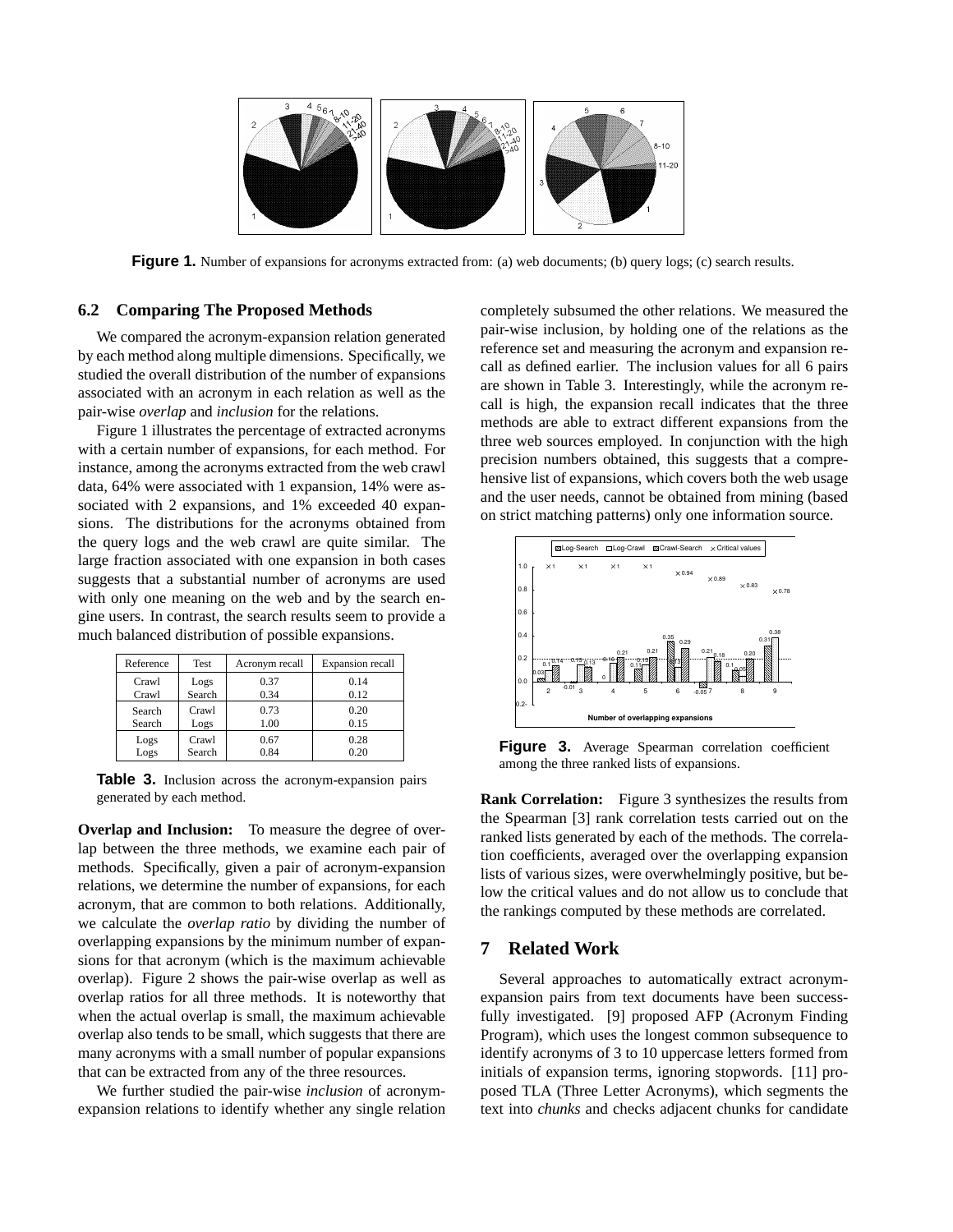

**Figure 1.** Number of expansions for acronyms extracted from: (a) web documents; (b) query logs; (c) search results.

### **6.2 Comparing The Proposed Methods**

We compared the acronym-expansion relation generated by each method along multiple dimensions. Specifically, we studied the overall distribution of the number of expansions associated with an acronym in each relation as well as the pair-wise *overlap* and *inclusion* for the relations.

Figure 1 illustrates the percentage of extracted acronyms with a certain number of expansions, for each method. For instance, among the acronyms extracted from the web crawl data, 64% were associated with 1 expansion, 14% were associated with 2 expansions, and 1% exceeded 40 expansions. The distributions for the acronyms obtained from the query logs and the web crawl are quite similar. The large fraction associated with one expansion in both cases suggests that a substantial number of acronyms are used with only one meaning on the web and by the search engine users. In contrast, the search results seem to provide a much balanced distribution of possible expansions.

| Reference | Test   | Acronym recall | Expansion recall |
|-----------|--------|----------------|------------------|
| Crawl     | Logs   | 0.37           | 0.14             |
| Crawl     | Search | 0.34           | 0.12             |
| Search    | Crawl  | 0.73           | 0.20             |
| Search    | Logs   | 1.00           | 0.15             |
| Logs      | Crawl  | 0.67           | 0.28             |
| Logs      | Search | 0.84           | 0.20             |

**Table 3.** Inclusion across the acronym-expansion pairs generated by each method.

**Overlap and Inclusion:** To measure the degree of overlap between the three methods, we examine each pair of methods. Specifically, given a pair of acronym-expansion relations, we determine the number of expansions, for each acronym, that are common to both relations. Additionally, we calculate the *overlap ratio* by dividing the number of overlapping expansions by the minimum number of expansions for that acronym (which is the maximum achievable overlap). Figure 2 shows the pair-wise overlap as well as overlap ratios for all three methods. It is noteworthy that when the actual overlap is small, the maximum achievable overlap also tends to be small, which suggests that there are many acronyms with a small number of popular expansions that can be extracted from any of the three resources.

We further studied the pair-wise *inclusion* of acronymexpansion relations to identify whether any single relation completely subsumed the other relations. We measured the pair-wise inclusion, by holding one of the relations as the reference set and measuring the acronym and expansion recall as defined earlier. The inclusion values for all 6 pairs are shown in Table 3. Interestingly, while the acronym recall is high, the expansion recall indicates that the three methods are able to extract different expansions from the three web sources employed. In conjunction with the high precision numbers obtained, this suggests that a comprehensive list of expansions, which covers both the web usage and the user needs, cannot be obtained from mining (based on strict matching patterns) only one information source.



**Figure 3.** Average Spearman correlation coefficient among the three ranked lists of expansions.

**Rank Correlation:** Figure 3 synthesizes the results from the Spearman [3] rank correlation tests carried out on the ranked lists generated by each of the methods. The correlation coefficients, averaged over the overlapping expansion lists of various sizes, were overwhelmingly positive, but below the critical values and do not allow us to conclude that the rankings computed by these methods are correlated.

## **7 Related Work**

Several approaches to automatically extract acronymexpansion pairs from text documents have been successfully investigated. [9] proposed AFP (Acronym Finding Program), which uses the longest common subsequence to identify acronyms of 3 to 10 uppercase letters formed from initials of expansion terms, ignoring stopwords. [11] proposed TLA (Three Letter Acronyms), which segments the text into *chunks* and checks adjacent chunks for candidate